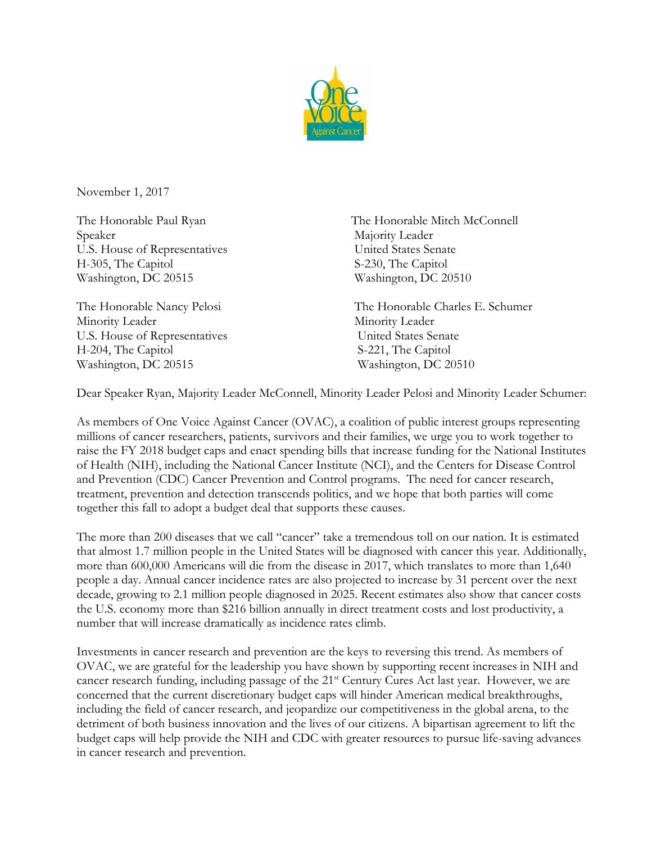

November 1, 2017

Speaker Majority Leader U.S. House of Representatives United States Senate H-305, The Capitol S-230, The Capitol Washington, DC 20515 Washington, DC 20510

Minority Leader Minority Leader U.S. House of Representatives United States Senate H-204, The Capitol S-221, The Capitol Washington, DC 20515 Washington, DC 20510

The Honorable Paul Ryan The Honorable Mitch McConnell

The Honorable Nancy Pelosi The Honorable Charles E. Schumer

Dear Speaker Ryan, Majority Leader McConnell, Minority Leader Pelosi and Minority Leader Schumer:

As members of One Voice Against Cancer (OVAC), a coalition of public interest groups representing millions of cancer researchers, patients, survivors and their families, we urge you to work together to raise the FY 2018 budget caps and enact spending bills that increase funding for the National Institutes of Health (NIH), including the National Cancer Institute (NCI), and the Centers for Disease Control and Prevention (CDC) Cancer Prevention and Control programs. The need for cancer research, treatment, prevention and detection transcends politics, and we hope that both parties will come together this fall to adopt a budget deal that supports these causes.

The more than 200 diseases that we call "cancer" take a tremendous toll on our nation. It is estimated that almost 1.7 million people in the United States will be diagnosed with cancer this year. Additionally, more than 600,000 Americans will die from the disease in 2017, which translates to more than 1,640 people a day. Annual cancer incidence rates are also projected to increase by 31 percent over the next decade, growing to 2.1 million people diagnosed in 2025. Recent estimates also show that cancer costs the U.S. economy more than \$216 billion annually in direct treatment costs and lost productivity, a number that will increase dramatically as incidence rates climb.

Investments in cancer research and prevention are the keys to reversing this trend. As members of OVAC, we are grateful for the leadership you have shown by supporting recent increases in NIH and cancer research funding, including passage of the 21<sup>st</sup> Century Cures Act last year. However, we are concerned that the current discretionary budget caps will hinder American medical breakthroughs, including the field of cancer research, and jeopardize our competitiveness in the global arena, to the detriment of both business innovation and the lives of our citizens. A bipartisan agreement to lift the budget caps will help provide the NIH and CDC with greater resources to pursue life-saving advances in cancer research and prevention.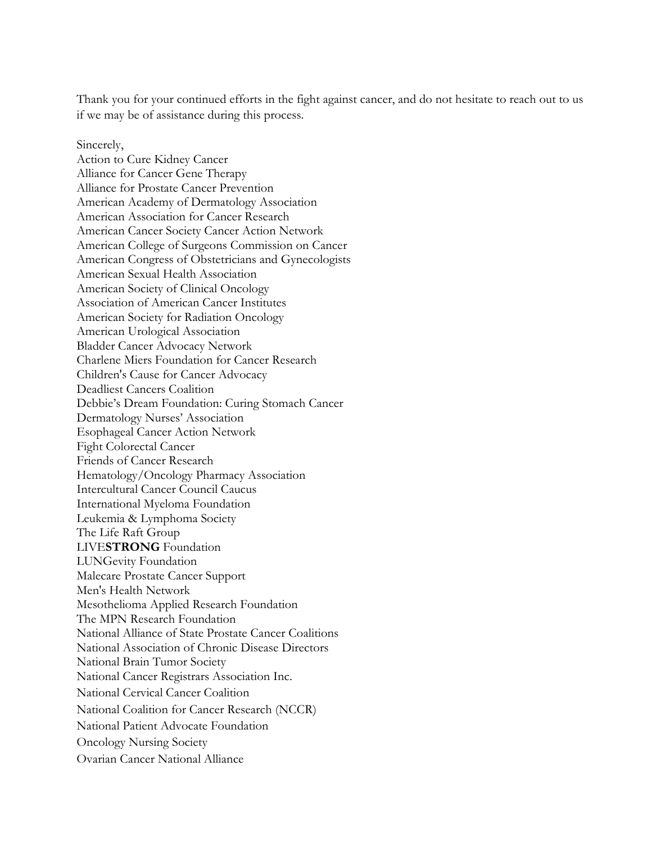Thank you for your continued efforts in the fight against cancer, and do not hesitate to reach out to us if we may be of assistance during this process.

Sincerely, Action to Cure Kidney Cancer Alliance for Cancer Gene Therapy Alliance for Prostate Cancer Prevention American Academy of Dermatology Association American Association for Cancer Research American Cancer Society Cancer Action Network American College of Surgeons Commission on Cancer American Congress of Obstetricians and Gynecologists American Sexual Health Association American Society of Clinical Oncology Association of American Cancer Institutes American Society for Radiation Oncology American Urological Association Bladder Cancer Advocacy Network Charlene Miers Foundation for Cancer Research Children's Cause for Cancer Advocacy Deadliest Cancers Coalition Debbie's Dream Foundation: Curing Stomach Cancer Dermatology Nurses' Association Esophageal Cancer Action Network Fight Colorectal Cancer Friends of Cancer Research Hematology/Oncology Pharmacy Association Intercultural Cancer Council Caucus International Myeloma Foundation Leukemia & Lymphoma Society The Life Raft Group LIVE**STRONG** Foundation LUNGevity Foundation Malecare Prostate Cancer Support Men's Health Network Mesothelioma Applied Research Foundation The MPN Research Foundation National Alliance of State Prostate Cancer Coalitions National Association of Chronic Disease Directors National Brain Tumor Society National Cancer Registrars Association Inc. National Cervical Cancer Coalition National Coalition for Cancer Research (NCCR) National Patient Advocate Foundation Oncology Nursing Society Ovarian Cancer National Alliance